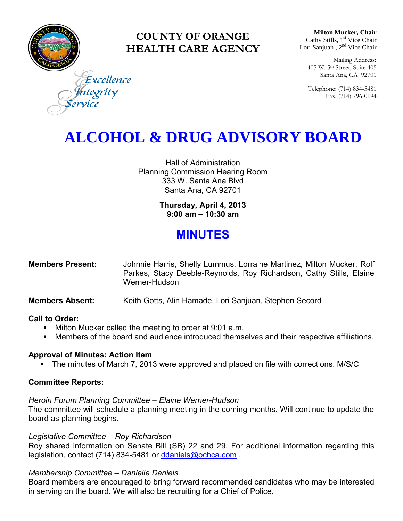

### **COUNTY OF ORANGE HEALTH CARE AGENCY**

**Milton Mucker, Chair** Cathy Stills, 1<sup>st</sup> Vice Chair Lori Sanjuan, 2<sup>nd</sup> Vice Chair

Mailing Address: 405 W. 5th Street, Suite 405 Santa Ana, CA 92701

Telephone: (714) 834-5481 Fax: (714) 796-0194

Excellence tegrity

## **ALCOHOL & DRUG ADVISORY BOARD**

Hall of Administration Planning Commission Hearing Room 333 W. Santa Ana Blvd Santa Ana, CA 92701

> **Thursday, April 4, 2013 9:00 am – 10:30 am**

### **MINUTES**

| <b>Members Present:</b> | Johnnie Harris, Shelly Lummus, Lorraine Martinez, Milton Mucker, Rolf |
|-------------------------|-----------------------------------------------------------------------|
|                         | Parkes, Stacy Deeble-Reynolds, Roy Richardson, Cathy Stills, Elaine   |
|                         | Werner-Hudson                                                         |

#### **Members Absent:** Keith Gotts, Alin Hamade, Lori Sanjuan, Stephen Secord

#### **Call to Order:**

- **Milton Mucker called the meeting to order at 9:01 a.m.**
- **Members of the board and audience introduced themselves and their respective affiliations.**

#### **Approval of Minutes: Action Item**

• The minutes of March 7, 2013 were approved and placed on file with corrections. M/S/C

#### **Committee Reports:**

#### *Heroin Forum Planning Committee – Elaine Werner-Hudson*

The committee will schedule a planning meeting in the coming months. Will continue to update the board as planning begins.

#### *Legislative Committee – Roy Richardson*

Roy shared information on Senate Bill (SB) 22 and 29. For additional information regarding this legislation, contact (714) 834-5481 or [ddaniels@ochca.com](mailto:ddaniels@ochca.com).

#### *Membership Committee – Danielle Daniels*

Board members are encouraged to bring forward recommended candidates who may be interested in serving on the board. We will also be recruiting for a Chief of Police.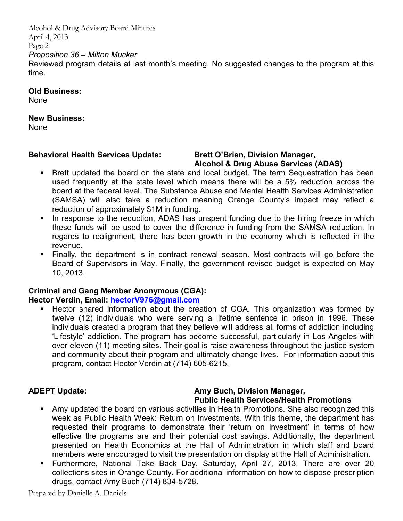Alcohol & Drug Advisory Board Minutes April 4, 2013 Page 2

#### *Proposition 36 – Milton Mucker*

Reviewed program details at last month's meeting. No suggested changes to the program at this time.

**Old Business:** 

None

#### **New Business:**

None

#### **Behavioral Health Services Update: Brett O'Brien, Division Manager,**

# **Alcohol & Drug Abuse Services (ADAS)**

- Brett updated the board on the state and local budget. The term Sequestration has been used frequently at the state level which means there will be a 5% reduction across the board at the federal level. The Substance Abuse and Mental Health Services Administration (SAMSA) will also take a reduction meaning Orange County's impact may reflect a reduction of approximately \$1M in funding.
- In response to the reduction, ADAS has unspent funding due to the hiring freeze in which these funds will be used to cover the difference in funding from the SAMSA reduction. In regards to realignment, there has been growth in the economy which is reflected in the revenue.
- Finally, the department is in contract renewal season. Most contracts will go before the Board of Supervisors in May. Finally, the government revised budget is expected on May 10, 2013.

#### **Criminal and Gang Member Anonymous (CGA):**

#### **Hector Verdin, Email: [hectorV976@gmail.com](mailto:hectorV976@gmail.com)**

 Hector shared information about the creation of CGA. This organization was formed by twelve (12) individuals who were serving a lifetime sentence in prison in 1996. These individuals created a program that they believe will address all forms of addiction including 'Lifestyle' addiction. The program has become successful, particularly in Los Angeles with over eleven (11) meeting sites. Their goal is raise awareness throughout the justice system and community about their program and ultimately change lives. For information about this program, contact Hector Verdin at (714) 605-6215.

#### **ADEPT Update: Amy Buch, Division Manager, Public Health Services/Health Promotions**

- Amy updated the board on various activities in Health Promotions. She also recognized this week as Public Health Week: Return on Investments. With this theme, the department has requested their programs to demonstrate their 'return on investment' in terms of how effective the programs are and their potential cost savings. Additionally, the department presented on Health Economics at the Hall of Administration in which staff and board members were encouraged to visit the presentation on display at the Hall of Administration.
- Furthermore, National Take Back Day, Saturday, April 27, 2013. There are over 20 collections sites in Orange County. For additional information on how to dispose prescription drugs, contact Amy Buch (714) 834-5728.